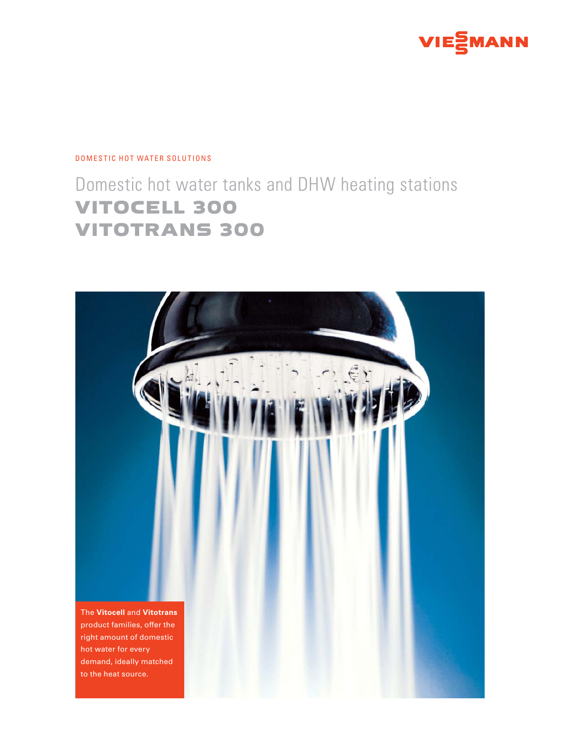

#### DOMESTIC HOT WATER SOLUTIONS

# Domestic hot water tanks and DHW heating stations VITOCELL 300 VITOTRANS 300

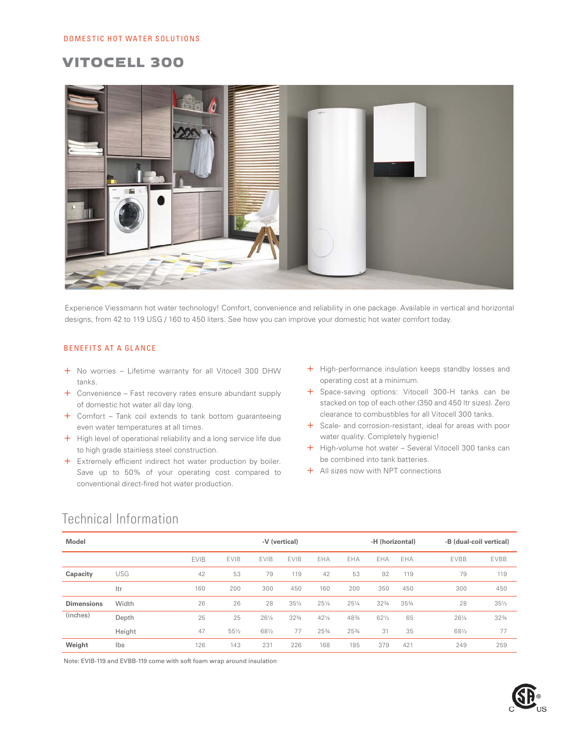### VITOCELL 300



Experience Viessmann hot water technology! Comfort, convenience and reliability in one package. Available in vertical and horizontal designs, from 42 to 119 USG / 160 to 450 liters. See how you can improve your domestic hot water comfort today.

#### BENEFITS AT A GLANCE

- + No worries Lifetime warranty for all Vitocell 300 DHW tanks.
- + Convenience Fast recovery rates ensure abundant supply of domestic hot water all day long.
- + Comfort Tank coil extends to tank bottom guaranteeing even water temperatures at all times.
- + High level of operational reliability and a long service life due to high grade stainless steel construction.
- + Extremely efficient indirect hot water production by boiler. Save up to 50% of your operating cost compared to conventional direct-fired hot water production.
- + High-performance insulation keeps standby losses and operating cost at a minimum.
- + Space-saving options: Vitocell 300-H tanks can be stacked on top of each other (350 and 450 ltr sizes). Zero clearance to combustibles for all Vitocell 300 tanks.
- + Scale- and corrosion-resistant, ideal for areas with poor water quality. Completely hygienic!
- + High-volume hot water Several Vitocell 300 tanks can be combined into tank batteries.
- + All sizes now with NPT connections

### Technical Information

| <b>Model</b>      |        |             | -V (vertical) |             |                 |                 |       | -H (horizontal) |       | -B (dual-coil vertical) |                 |
|-------------------|--------|-------------|---------------|-------------|-----------------|-----------------|-------|-----------------|-------|-------------------------|-----------------|
|                   |        | <b>EVIB</b> | <b>EVIB</b>   | <b>EVIB</b> | <b>EVIB</b>     | EHA             | EHA   | EHA             | EHA   | <b>EVBB</b>             | <b>EVBB</b>     |
| Capacity          | USG    | 42          | 53            | 79          | 119             | 42              | 53    | 92              | 119   | 79                      | 119             |
|                   | Itr    | 160         | 200           | 300         | 450             | 160             | 200   | 350             | 450   | 300                     | 450             |
| <b>Dimensions</b> | Width  | 26          | 26            | 28          | $35\frac{1}{2}$ | $25\frac{1}{4}$ | 251/4 | 323/4           | 353/4 | 28                      | $35\frac{1}{2}$ |
| (inches)          | Depth  | 25          | 25            | 261/4       | $32\frac{3}{4}$ | $42\frac{1}{4}$ | 483/4 | $62\frac{1}{2}$ | 65    | $26\frac{1}{4}$         | 323/4           |
|                   | Height | 47          | 551/2         | 681/2       | 77              | 253/4           | 253/4 | 31              | 35    | 681/2                   | 77              |
| Weight            | Ibs    | 126         | 143           | 231         | 226             | 168             | 185   | 379             | 421   | 249                     | 259             |

Note: EVIB-119 and EVBB-119 come with soft foam wrap around insulation

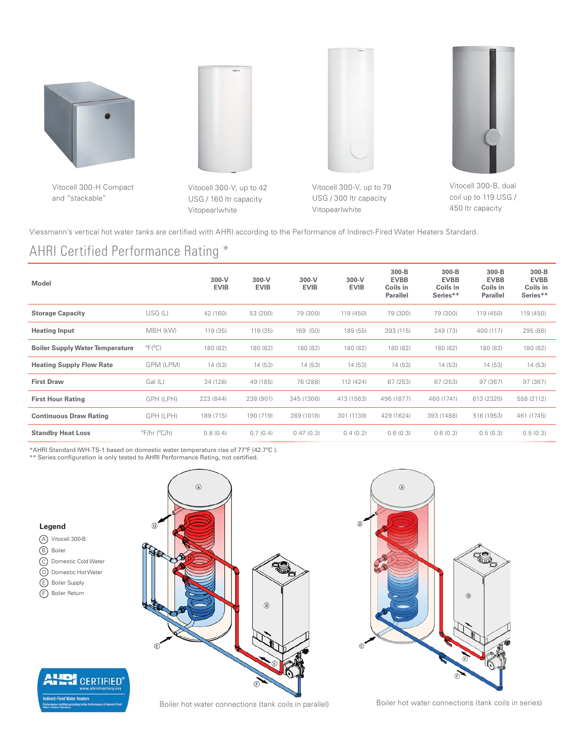

Vitocell 300-H Compact and "stackable"



Vitocell 300-V, up to 42 USG / 160 ltr capacity Vitopearlwhite

Vitocell 300-V, up to 79 USG / 300 ltr capacity Vitopearlwhite



Vitocell 300-B, dual coil up to 119 USG / 450 ltr capacity

Viessmann's vertical hot water tanks are certified with AHRI according to the Performance of Indirect-Fired Water Heaters Standard.

# AHRI Certified Performance Rating \*

| <b>Model</b>                           |                                      | $300-V$<br><b>EVIB</b> | $300-V$<br><b>EVIB</b> | $300-V$<br><b>EVIB</b> | $300-V$<br><b>EVIB</b> | $300 - B$<br><b>EVBB</b><br>Coils in<br><b>Parallel</b> | 300-B<br><b>EVBB</b><br>Coils in<br>Series** | 300-B<br><b>EVBB</b><br>Coils in<br>Parallel | 300-B<br><b>EVBB</b><br>Coils in<br>Series** |
|----------------------------------------|--------------------------------------|------------------------|------------------------|------------------------|------------------------|---------------------------------------------------------|----------------------------------------------|----------------------------------------------|----------------------------------------------|
| <b>Storage Capacity</b>                | USG (L)                              | 42 (160)               | 53 (200)               | 79 (300)               | 119 (450)              | 79 (300)                                                | 79 (300)                                     | 119 (450)                                    | 119 (450)                                    |
| <b>Heating Input</b>                   | MBH (kW)                             | 119 (35)               | 119 (35)               | 169 (50)               | 189 (55)               | 393 (115)                                               | 249 (73)                                     | 400 (117)                                    | 295 (86)                                     |
| <b>Boiler Supply Water Temperature</b> | $^{\circ}F(^{\circ}C)$               | 180 (82)               | 180 (82)               | 180 (82)               | 180 (82)               | 180 (82)                                                | 180 (82)                                     | 180 (82)                                     | 180 (82)                                     |
| <b>Heating Supply Flow Rate</b>        | GPM (LPM)                            | 14 (53)                | 14 (53)                | 14 (53)                | 14(53)                 | 14(53)                                                  | 14(53)                                       | 14(53)                                       | 14(53)                                       |
| <b>First Draw</b>                      | Gal (L)                              | 34 (128)               | 49 (185)               | 76 (288)               | 112 (424)              | 67 (253)                                                | 67 (253)                                     | 97 (367)                                     | 97(367)                                      |
| <b>First Hour Rating</b>               | GPH (LPH)                            | 223 (844)              | 238 (901)              | 345 (1306)             | 413 (1563)             | 496 (1877)                                              | 460 (1741)                                   | 613 (2320)                                   | 558 (2112)                                   |
| <b>Continuous Draw Rating</b>          | GPH (LPH)                            | 189 (715)              | 190 (719)              | 269 (1018)             | 301 (1139)             | 429 (1624)                                              | 393 (1488)                                   | 516 (1953)                                   | 461 (1745)                                   |
| <b>Standby Heat Loss</b>               | $\mathrm{P}$ F/hr ( $\mathrm{C}$ /h) | 0.8(0.4)               | 0.7(0.4)               | 0.47(0.3)              | 0.4(0.2)               | 0.6(0.3)                                                | 0.6(0.3)                                     | 0.5(0.3)                                     | 0.5(0.3)                                     |

\*AHRI Standard IWH-TS-1 based on domestic water temperature rise of 77ºF (42.7ºC ).

\*\* Series configuration is only tested to AHRI Performance Rating, not certified.

#### **Legend**

- A Vitocell 300-B B Boiler C Domestic Cold Water D Domestic Hot Water
- E Boiler Supply
- F Boiler Return







Boiler hot water connections (tank coils in parallel) Boiler hot water connections (tank coils in series)